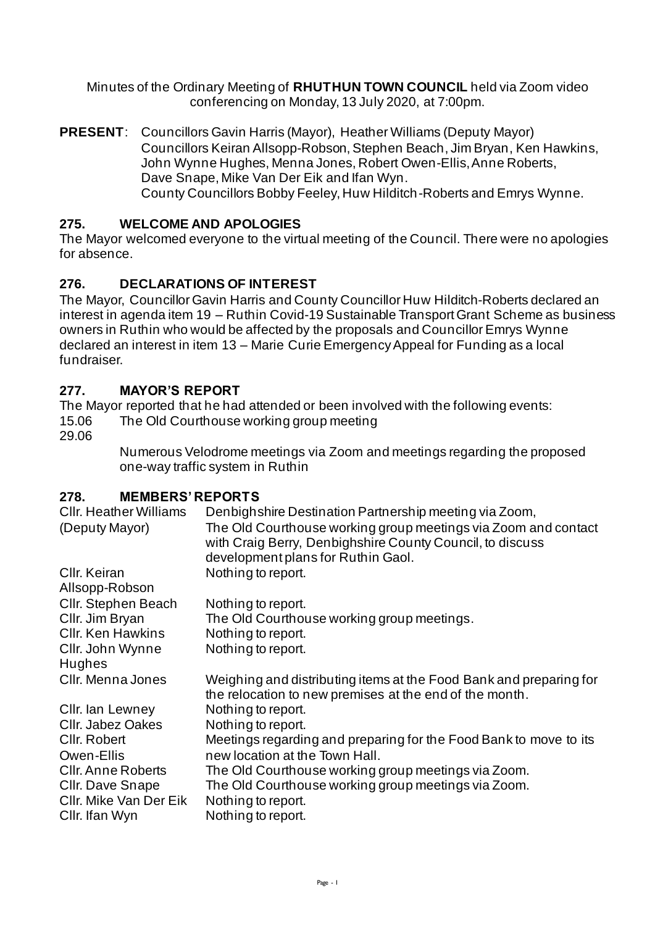Minutes of the Ordinary Meeting of **RHUTHUN TOWN COUNCIL** held via Zoom video conferencing on Monday, 13 July 2020, at 7:00pm.

**PRESENT**: Councillors Gavin Harris (Mayor), Heather Williams (Deputy Mayor) Councillors Keiran Allsopp-Robson, Stephen Beach, Jim Bryan, Ken Hawkins, John Wynne Hughes, Menna Jones, Robert Owen-Ellis, Anne Roberts, Dave Snape, Mike Van Der Eik and Ifan Wyn. County Councillors Bobby Feeley, Huw Hilditch-Roberts and Emrys Wynne.

#### **275. WELCOME AND APOLOGIES**

The Mayor welcomed everyone to the virtual meeting of the Council. There were no apologies for absence.

#### **276. DECLARATIONS OF INTEREST**

The Mayor, Councillor Gavin Harris and County Councillor Huw Hilditch-Roberts declared an interest in agenda item 19 – Ruthin Covid-19 Sustainable Transport Grant Scheme as business owners in Ruthin who would be affected by the proposals and Councillor Emrys Wynne declared an interest in item 13 – Marie Curie Emergency Appeal for Funding as a local fundraiser.

#### **277. MAYOR'S REPORT**

The Mayor reported that he had attended or been involved with the following events: 15.06 The Old Courthouse working group meeting

29.06

Numerous Velodrome meetings via Zoom and meetings regarding the proposed one-way traffic system in Ruthin

#### **278. MEMBERS' REPORTS**

| Denbighshire Destination Partnership meeting via Zoom,<br>The Old Courthouse working group meetings via Zoom and contact<br>with Craig Berry, Denbighshire County Council, to discuss<br>development plans for Ruthin Gaol. |
|-----------------------------------------------------------------------------------------------------------------------------------------------------------------------------------------------------------------------------|
| Nothing to report.                                                                                                                                                                                                          |
| Nothing to report.                                                                                                                                                                                                          |
| The Old Courthouse working group meetings.                                                                                                                                                                                  |
| Nothing to report.                                                                                                                                                                                                          |
| Nothing to report.                                                                                                                                                                                                          |
| Weighing and distributing items at the Food Bank and preparing for<br>the relocation to new premises at the end of the month.                                                                                               |
| Nothing to report.                                                                                                                                                                                                          |
| Nothing to report.                                                                                                                                                                                                          |
| Meetings regarding and preparing for the Food Bank to move to its                                                                                                                                                           |
| new location at the Town Hall.                                                                                                                                                                                              |
| The Old Courthouse working group meetings via Zoom.<br>The Old Courthouse working group meetings via Zoom.<br>Nothing to report.<br>Nothing to report.                                                                      |
|                                                                                                                                                                                                                             |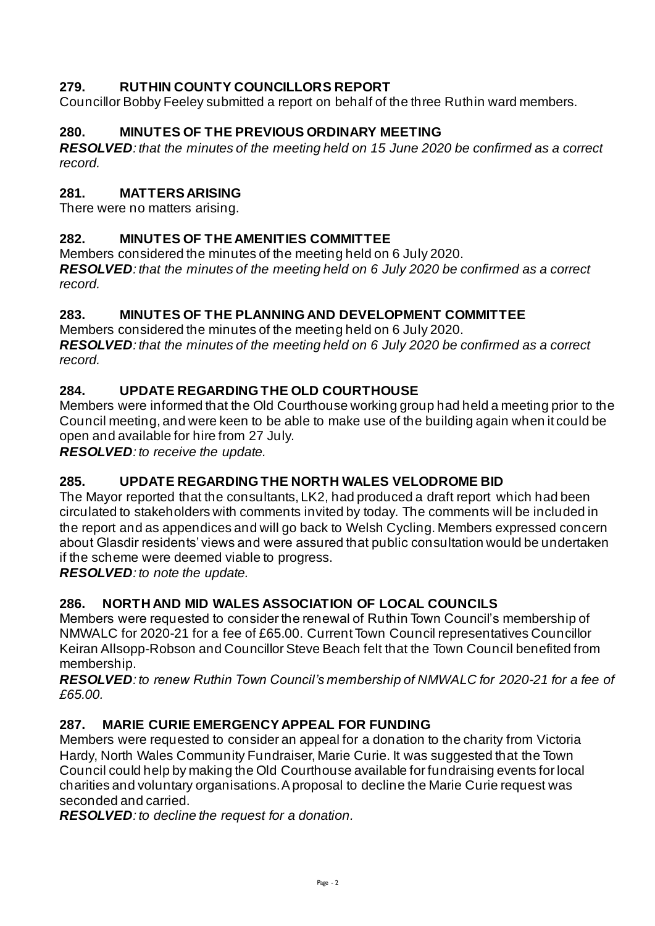# **279. RUTHIN COUNTY COUNCILLORS REPORT**

Councillor Bobby Feeley submitted a report on behalf of the three Ruthin ward members.

# **280. MINUTES OF THE PREVIOUS ORDINARY MEETING**

*RESOLVED: that the minutes of the meeting held on 15 June 2020 be confirmed as a correct record.* 

# **281. MATTERS ARISING**

There were no matters arising.

## **282. MINUTES OF THE AMENITIES COMMITTEE**

Members considered the minutes of the meeting held on 6 July 2020.

*RESOLVED: that the minutes of the meeting held on 6 July 2020 be confirmed as a correct record.* 

## **283. MINUTES OF THE PLANNING AND DEVELOPMENT COMMITTEE**

Members considered the minutes of the meeting held on 6 July 2020. *RESOLVED: that the minutes of the meeting held on 6 July 2020 be confirmed as a correct record.* 

## **284. UPDATE REGARDING THE OLD COURTHOUSE**

Members were informed that the Old Courthouse working group had held a meeting prior to the Council meeting, and were keen to be able to make use of the building again when it could be open and available for hire from 27 July.

*RESOLVED: to receive the update.* 

## **285. UPDATE REGARDING THE NORTH WALES VELODROME BID**

The Mayor reported that the consultants, LK2, had produced a draft report which had been circulated to stakeholders with comments invited by today. The comments will be included in the report and as appendices and will go back to Welsh Cycling. Members expressed concern about Glasdir residents' views and were assured that public consultation would be undertaken if the scheme were deemed viable to progress.

*RESOLVED: to note the update.* 

## **286. NORTH AND MID WALES ASSOCIATION OF LOCAL COUNCILS**

Members were requested to consider the renewal of Ruthin Town Council's membership of NMWALC for 2020-21 for a fee of £65.00. Current Town Council representatives Councillor Keiran Allsopp-Robson and Councillor Steve Beach felt that the Town Council benefited from membership.

*RESOLVED: to renew Ruthin Town Council's membership of NMWALC for 2020-21 for a fee of £65.00.* 

## **287. MARIE CURIE EMERGENCY APPEAL FOR FUNDING**

Members were requested to consider an appeal for a donation to the charity from Victoria Hardy, North Wales Community Fundraiser, Marie Curie. It was suggested that the Town Council could help by making the Old Courthouse available for fundraising events for local charities and voluntary organisations. A proposal to decline the Marie Curie request was seconded and carried.

*RESOLVED: to decline the request for a donation.*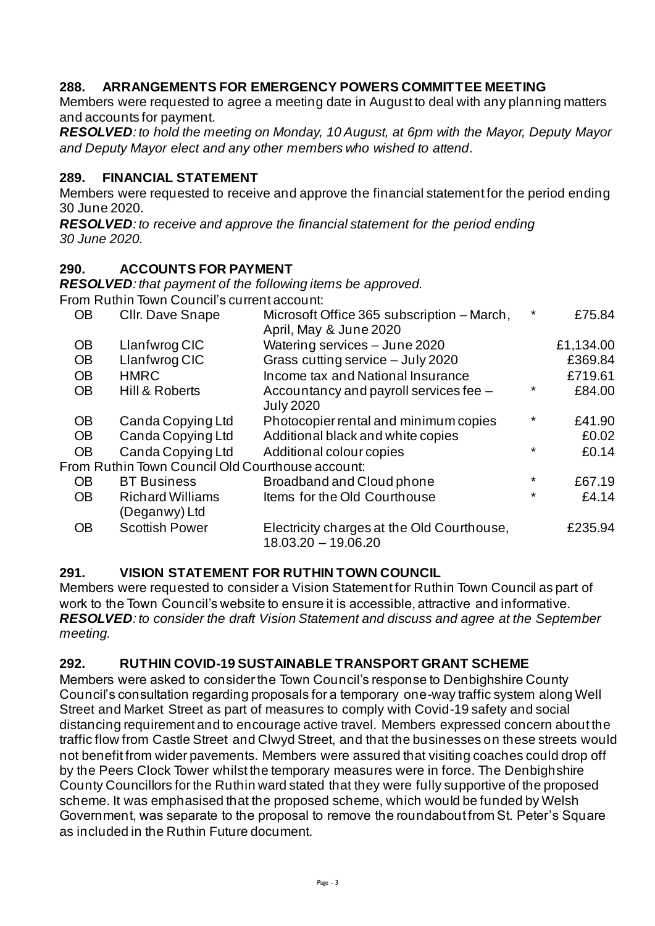### **288. ARRANGEMENTS FOR EMERGENCY POWERS COMMITTEE MEETING**

Members were requested to agree a meeting date in August to deal with any planning matters and accounts for payment.

*RESOLVED: to hold the meeting on Monday, 10 August, at 6pm with the Mayor, Deputy Mayor and Deputy Mayor elect and any other members who wished to attend.*

#### **289. FINANCIAL STATEMENT**

Members were requested to receive and approve the financial statement for the period ending 30 June 2020.

*RESOLVED: to receive and approve the financial statement for the period ending 30 June 2020.* 

#### **290. ACCOUNTS FOR PAYMENT**

*RESOLVED: that payment of the following items be approved.*

From Ruthin Town Council's current account:

|           | TUITEN UNITED TUNIT QUULIUI 3 GUITUIT AGGUUTIL.  |                                                                      |          |           |
|-----------|--------------------------------------------------|----------------------------------------------------------------------|----------|-----------|
| <b>OB</b> | Cllr. Dave Snape                                 | Microsoft Office 365 subscription – March,<br>April, May & June 2020 | $^\star$ | £75.84    |
| <b>OB</b> | Llanfwrog CIC                                    | Watering services - June 2020                                        |          | £1,134.00 |
| <b>OB</b> | Llanfwrog CIC                                    | Grass cutting service - July 2020                                    |          | £369.84   |
| <b>OB</b> | <b>HMRC</b>                                      | Income tax and National Insurance                                    |          | £719.61   |
| <b>OB</b> | Hill & Roberts                                   | Accountancy and payroll services fee -<br><b>July 2020</b>           | $\star$  | £84.00    |
| <b>OB</b> | Canda Copying Ltd                                | Photocopier rental and minimum copies                                | $^\star$ | £41.90    |
| <b>OB</b> | Canda Copying Ltd                                | Additional black and white copies                                    |          | £0.02     |
| <b>OB</b> | Canda Copying Ltd                                | Additional colour copies                                             | $\star$  | £0.14     |
|           | From Ruthin Town Council Old Courthouse account: |                                                                      |          |           |
| <b>OB</b> | <b>BT</b> Business                               | Broadband and Cloud phone                                            | $\ast$   | £67.19    |
| <b>OB</b> | <b>Richard Williams</b><br>(Deganwy) Ltd         | Items for the Old Courthouse                                         | $\star$  | £4.14     |
| <b>OB</b> | <b>Scottish Power</b>                            | Electricity charges at the Old Courthouse,<br>$18.03.20 - 19.06.20$  |          | £235.94   |

#### **291. VISION STATEMENT FOR RUTHIN TOWN COUNCIL**

Members were requested to consider a Vision Statement for Ruthin Town Council as part of work to the Town Council's website to ensure it is accessible, attractive and informative. *RESOLVED: to consider the draft Vision Statement and discuss and agree at the September meeting.* 

#### **292. RUTHIN COVID-19 SUSTAINABLE TRANSPORT GRANT SCHEME**

Members were asked to consider the Town Council's response to Denbighshire County Council's consultation regarding proposals for a temporary one-way traffic system along Well Street and Market Street as part of measures to comply with Covid-19 safety and social distancing requirement and to encourage active travel. Members expressed concern about the traffic flow from Castle Street and Clwyd Street, and that the businesses on these streets would not benefit from wider pavements. Members were assured that visiting coaches could drop off by the Peers Clock Tower whilst the temporary measures were in force. The Denbighshire County Councillors for the Ruthin ward stated that they were fully supportive of the proposed scheme. It was emphasised that the proposed scheme, which would be funded by Welsh Government, was separate to the proposal to remove the roundabout from St. Peter's Square as included in the Ruthin Future document.